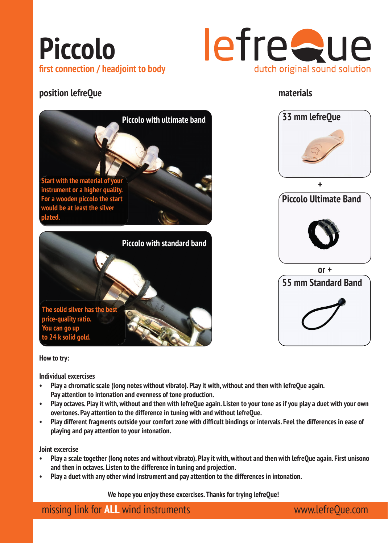



### **position lefreQue materials**





**How to try:** 

**Individual excercises**

**price-quality ratio. You can go up to 24 k solid gold.**

**The solid silver has the best** 

- **Play a chromatic scale (long notes without vibrato). Play it with, without and then with lefreQue again. Pay attention to intonation and evenness of tone production.**
- **Play octaves. Play it with, without and then with lefreQue again. Listen to your tone as if you play a duet with your own overtones. Pay attention to the difference in tuning with and without lefreQue.**
- Play different fragments outside your comfort zone with difficult bindings or intervals. Feel the differences in ease of **playing and pay attention to your intonation.**

**Joint excercise**

- **Play a scale together (long notes and without vibrato). Play it with, without and then with lefreQue again. First unisono and then in octaves. Listen to the difference in tuning and projection.**
- **Play a duet with any other wind instrument and pay attention to the differences in intonation.**

 **We hope you enjoy these excercises. Thanks for trying lefreQue!** 

missing link for **ALL** wind instruments www.lefreQue.com